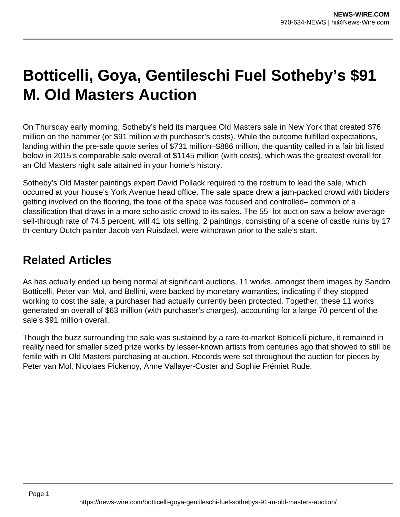## **Botticelli, Goya, Gentileschi Fuel Sotheby's \$91 M. Old Masters Auction**

On Thursday early morning, Sotheby's held its marquee Old Masters sale in New York that created \$76 million on the hammer (or \$91 million with purchaser's costs). While the outcome fulfilled expectations, landing within the pre-sale quote series of \$731 million–\$886 million, the quantity called in a fair bit listed below in 2015's comparable sale overall of \$1145 million (with costs), which was the greatest overall for an Old Masters night sale attained in your home's history.

Sotheby's Old Master paintings expert David Pollack required to the rostrum to lead the sale, which occurred at your house's York Avenue head office. The sale space drew a jam-packed crowd with bidders getting involved on the flooring, the tone of the space was focused and controlled– common of a classification that draws in a more scholastic crowd to its sales. The 55- lot auction saw a below-average sell-through rate of 74.5 percent, will 41 lots selling. 2 paintings, consisting of a scene of castle ruins by 17 th-century Dutch painter Jacob van Ruisdael, were withdrawn prior to the sale's start.

## **Related Articles**

As has actually ended up being normal at significant auctions, 11 works, amongst them images by Sandro Botticelli, Peter van Mol, and Bellini, were backed by monetary warranties, indicating if they stopped working to cost the sale, a purchaser had actually currently been protected. Together, these 11 works generated an overall of \$63 million (with purchaser's charges), accounting for a large 70 percent of the sale's \$91 million overall.

Though the buzz surrounding the sale was sustained by a rare-to-market Botticelli picture, it remained in reality need for smaller sized prize works by lesser-known artists from centuries ago that showed to still be fertile with in Old Masters purchasing at auction. Records were set throughout the auction for pieces by Peter van Mol, Nicolaes Pickenoy, Anne Vallayer-Coster and Sophie Frémiet Rude.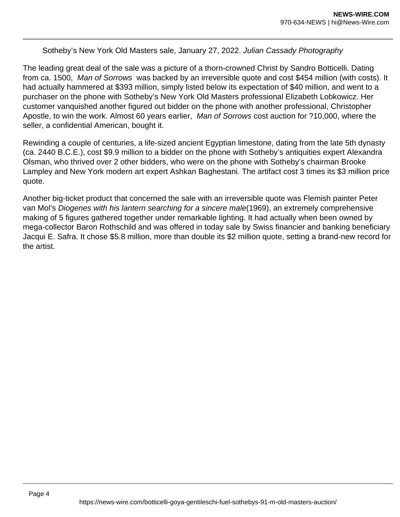## Sotheby's New York Old Masters sale, January 27, 2022. Julian Cassady Photography

The leading great deal of the sale was a picture of a thorn-crowned Christ by Sandro Botticelli. Dating from ca. 1500, Man of Sorrows was backed by an irreversible quote and cost \$454 million (with costs). It had actually hammered at \$393 million, simply listed below its expectation of \$40 million, and went to a purchaser on the phone with Sotheby's New York Old Masters professional Elizabeth Lobkowicz. Her customer vanquished another figured out bidder on the phone with another professional, Christopher Apostle, to win the work. Almost 60 years earlier, Man of Sorrows cost auction for ?10,000, where the seller, a confidential American, bought it.

Rewinding a couple of centuries, a life-sized ancient Egyptian limestone, dating from the late 5th dynasty (ca. 2440 B.C.E.), cost \$9.9 million to a bidder on the phone with Sotheby's antiquities expert Alexandra Olsman, who thrived over 2 other bidders, who were on the phone with Sotheby's chairman Brooke Lampley and New York modern art expert Ashkan Baghestani. The artifact cost 3 times its \$3 million price quote.

Another big-ticket product that concerned the sale with an irreversible quote was Flemish painter Peter van Mol's Diogenes with his lantern searching for a sincere male(1969), an extremely comprehensive making of 5 figures gathered together under remarkable lighting. It had actually when been owned by mega-collector Baron Rothschild and was offered in today sale by Swiss financier and banking beneficiary Jacqui E. Safra. It chose \$5.8 million, more than double its \$2 million quote, setting a brand-new record for the artist.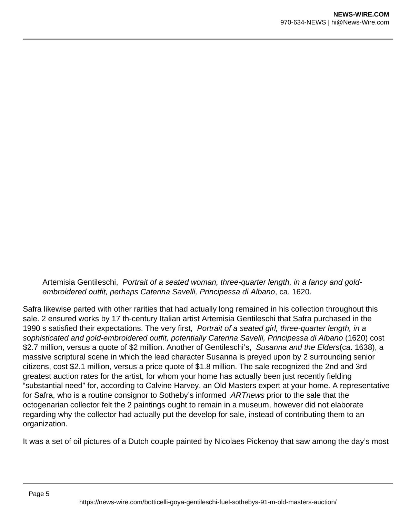Artemisia Gentileschi, Portrait of a seated woman, three-quarter length, in a fancy and goldembroidered outfit, perhaps Caterina Savelli, Principessa di Albano, ca. 1620.

Safra likewise parted with other rarities that had actually long remained in his collection throughout this sale. 2 ensured works by 17 th-century Italian artist Artemisia Gentileschi that Safra purchased in the 1990 s satisfied their expectations. The very first, Portrait of a seated girl, three-quarter length, in a sophisticated and gold-embroidered outfit, potentially Caterina Savelli, Principessa di Albano (1620) cost \$2.7 million, versus a quote of \$2 million. Another of Gentileschi's, Susanna and the Elders(ca. 1638), a massive scriptural scene in which the lead character Susanna is preyed upon by 2 surrounding senior citizens, cost \$2.1 million, versus a price quote of \$1.8 million. The sale recognized the 2nd and 3rd greatest auction rates for the artist, for whom your home has actually been just recently fielding "substantial need" for, according to Calvine Harvey, an Old Masters expert at your home. A representative for Safra, who is a routine consignor to Sotheby's informed ARTnews prior to the sale that the octogenarian collector felt the 2 paintings ought to remain in a museum, however did not elaborate regarding why the collector had actually put the develop for sale, instead of contributing them to an organization.

It was a set of oil pictures of a Dutch couple painted by Nicolaes Pickenoy that saw among the day's most